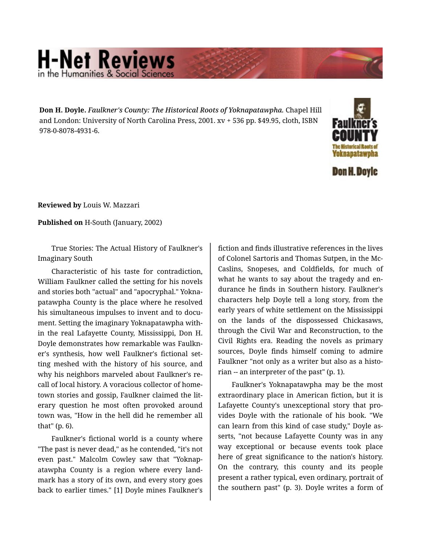## **H-Net Reviews** in the Humanities & Social S

**Don H. Doyle.** *Faulkner's County: The Historical Roots of Yoknapatawpha.* Chapel Hill and London: University of North Carolina Press, 2001. xv + 536 pp. \$49.95, cloth, ISBN 978-0-8078-4931-6.



**Reviewed by** Louis W. Mazzari

**Published on** H-South (January, 2002)

True Stories: The Actual History of Faulkner's Imaginary South

Characteristic of his taste for contradiction, William Faulkner called the setting for his novels and stories both "actual" and "apocryphal." Yokna‐ patawpha County is the place where he resolved his simultaneous impulses to invent and to document. Setting the imaginary Yoknapatawpha with‐ in the real Lafayette County, Mississippi, Don H. Doyle demonstrates how remarkable was Faulkn‐ er's synthesis, how well Faulkner's fictional set‐ ting meshed with the history of his source, and why his neighbors marveled about Faulkner's re‐ call of local history. A voracious collector of home‐ town stories and gossip, Faulkner claimed the lit‐ erary question he most often provoked around town was, "How in the hell did he remember all that" (p. 6).

Faulkner's fictional world is a county where "The past is never dead," as he contended, "it's not even past." Malcolm Cowley saw that "Yoknap‐ atawpha County is a region where every land‐ mark has a story of its own, and every story goes back to earlier times." [1] Doyle mines Faulkner's

fiction and finds illustrative references in the lives of Colonel Sartoris and Thomas Sutpen, in the Mc‐ Caslins, Snopeses, and Coldfields, for much of what he wants to say about the tragedy and en‐ durance he finds in Southern history. Faulkner's characters help Doyle tell a long story, from the early years of white settlement on the Mississippi on the lands of the dispossessed Chickasaws, through the Civil War and Reconstruction, to the Civil Rights era. Reading the novels as primary sources, Doyle finds himself coming to admire Faulkner "not only as a writer but also as a histo‐ rian -- an interpreter of the past" (p. 1).

Faulkner's Yoknapatawpha may be the most extraordinary place in American fiction, but it is Lafayette County's unexceptional story that pro‐ vides Doyle with the rationale of his book. "We can learn from this kind of case study," Doyle as‐ serts, "not because Lafayette County was in any way exceptional or because events took place here of great significance to the nation's history. On the contrary, this county and its people present a rather typical, even ordinary, portrait of the southern past" (p. 3). Doyle writes a form of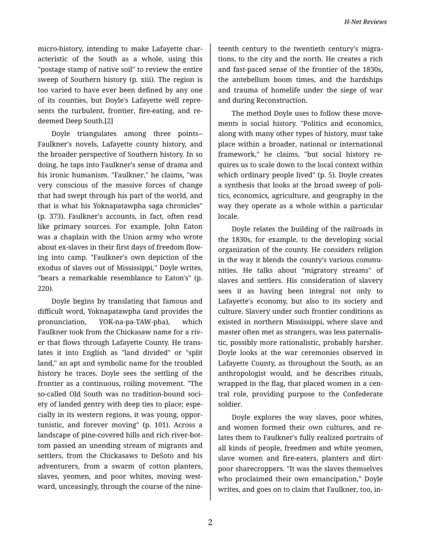micro-history, intending to make Lafayette char‐ acteristic of the South as a whole, using this "postage stamp of native soil" to review the entire sweep of Southern history (p. xiii). The region is too varied to have ever been defined by any one of its counties, but Doyle's Lafayette well repre‐ sents the turbulent, frontier, fire-eating, and re‐ deemed Deep South.[2]

Doyle triangulates among three points-- Faulkner's novels, Lafayette county history, and the broader perspective of Southern history. In so doing, he taps into Faulkner's sense of drama and his ironic humanism. "Faulkner," he claims, "was very conscious of the massive forces of change that had swept through his part of the world, and that is what his Yoknapatawpha saga chronicles" (p. 373). Faulkner's accounts, in fact, often read like primary sources. For example, John Eaton was a chaplain with the Union army who wrote about ex-slaves in their first days of freedom flow‐ ing into camp. "Faulkner's own depiction of the exodus of slaves out of Mississippi," Doyle writes, "bears a remarkable resemblance to Eaton's" (p. 220).

Doyle begins by translating that famous and difficult word, Yoknapatawpha (and provides the pronunciation, YOK-na-pa-TAW-pha), which Faulkner took from the Chickasaw name for a riv‐ er that flows through Lafayette County. He trans‐ lates it into English as "land divided" or "split land," an apt and symbolic name for the troubled history he traces. Doyle sees the settling of the frontier as a continuous, roiling movement. "The so-called Old South was no tradition-bound soci‐ ety of landed gentry with deep ties to place; espe‐ cially in its western regions, it was young, oppor‐ tunistic, and forever moving" (p. 101). Across a landscape of pine-covered hills and rich river-bot‐ tom passed an unending stream of migrants and settlers, from the Chickasaws to DeSoto and his adventurers, from a swarm of cotton planters, slaves, yeomen, and poor whites, moving west‐ ward, unceasingly, through the course of the nine‐

teenth century to the twentieth century's migra‐ tions, to the city and the north. He creates a rich and fast-paced sense of the frontier of the 1830s, the antebellum boom times, and the hardships and trauma of homelife under the siege of war and during Reconstruction.

The method Doyle uses to follow these move‐ ments is social history. "Politics and economics, along with many other types of history, must take place within a broader, national or international framework," he claims, "but social history re‐ quires us to scale down to the local context within which ordinary people lived" (p. 5). Doyle creates a synthesis that looks at the broad sweep of poli‐ tics, economics, agriculture, and geography in the way they operate as a whole within a particular locale.

Doyle relates the building of the railroads in the 1830s, for example, to the developing social organization of the county. He considers religion in the way it blends the county's various commu‐ nities. He talks about "migratory streams" of slaves and settlers. His consideration of slavery sees it as having been integral not only to Lafayette's economy, but also to its society and culture. Slavery under such frontier conditions as existed in northern Mississippi, where slave and master often met as strangers, was less paternalis‐ tic, possibly more rationalistic, probably harsher. Doyle looks at the war ceremonies observed in Lafayette County, as throughout the South, as an anthropologist would, and he describes rituals, wrapped in the flag, that placed women in a cen‐ tral role, providing purpose to the Confederate soldier.

Doyle explores the way slaves, poor whites, and women formed their own cultures, and re‐ lates them to Faulkner's fully realized portraits of all kinds of people, freedmen and white yeomen, slave women and fire-eaters, planters and dirtpoor sharecroppers. "It was the slaves themselves who proclaimed their own emancipation," Doyle writes, and goes on to claim that Faulkner, too, in‐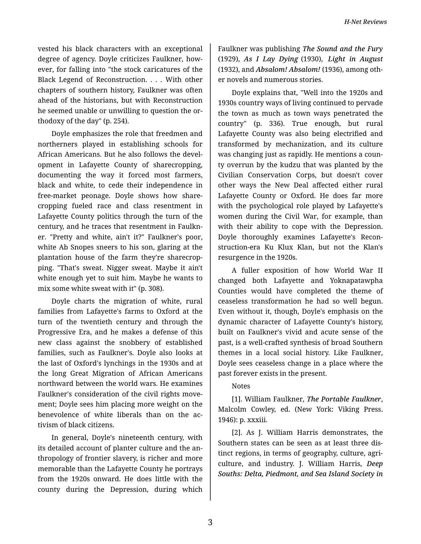vested his black characters with an exceptional degree of agency. Doyle criticizes Faulkner, how‐ ever, for falling into "the stock caricatures of the Black Legend of Reconstruction. . . . With other chapters of southern history, Faulkner was often ahead of the historians, but with Reconstruction he seemed unable or unwilling to question the or‐ thodoxy of the day" (p. 254).

Doyle emphasizes the role that freedmen and northerners played in establishing schools for African Americans. But he also follows the devel‐ opment in Lafayette County of sharecropping, documenting the way it forced most farmers, black and white, to cede their independence in free-market peonage. Doyle shows how share‐ cropping fueled race and class resentment in Lafayette County politics through the turn of the century, and he traces that resentment in Faulkn‐ er. "Pretty and white, ain't it?" Faulkner's poor, white Ab Snopes sneers to his son, glaring at the plantation house of the farm they're sharecrop‐ ping. "That's sweat. Nigger sweat. Maybe it ain't white enough yet to suit him. Maybe he wants to mix some white sweat with it" (p. 308).

Doyle charts the migration of white, rural families from Lafayette's farms to Oxford at the turn of the twentieth century and through the Progressive Era, and he makes a defense of this new class against the snobbery of established families, such as Faulkner's. Doyle also looks at the last of Oxford's lynchings in the 1930s and at the long Great Migration of African Americans northward between the world wars. He examines Faulkner's consideration of the civil rights move‐ ment; Doyle sees him placing more weight on the benevolence of white liberals than on the ac‐ tivism of black citizens.

In general, Doyle's nineteenth century, with its detailed account of planter culture and the an‐ thropology of frontier slavery, is richer and more memorable than the Lafayette County he portrays from the 1920s onward. He does little with the county during the Depression, during which

Faulkner was publishing *The Sound and the Fury* (1929), *As I Lay Dying* (1930), *Light in August* (1932), and *Absalom! Absalom!* (1936), among oth‐ er novels and numerous stories.

Doyle explains that, "Well into the 1920s and 1930s country ways of living continued to pervade the town as much as town ways penetrated the country" (p. 336). True enough, but rural Lafayette County was also being electrified and transformed by mechanization, and its culture was changing just as rapidly. He mentions a coun‐ ty overrun by the kudzu that was planted by the Civilian Conservation Corps, but doesn't cover other ways the New Deal affected either rural Lafayette County or Oxford. He does far more with the psychological role played by Lafayette's women during the Civil War, for example, than with their ability to cope with the Depression. Doyle thoroughly examines Lafayette's Recon‐ struction-era Ku Klux Klan, but not the Klan's resurgence in the 1920s.

A fuller exposition of how World War II changed both Lafayette and Yoknapatawpha Counties would have completed the theme of ceaseless transformation he had so well begun. Even without it, though, Doyle's emphasis on the dynamic character of Lafayette County's history, built on Faulkner's vivid and acute sense of the past, is a well-crafted synthesis of broad Southern themes in a local social history. Like Faulkner, Doyle sees ceaseless change in a place where the past forever exists in the present.

## Notes

[1]. William Faulkner, *The Portable Faulkner*, Malcolm Cowley, ed. (New York: Viking Press. 1946): p. xxxiii.

[2]. As J. William Harris demonstrates, the Southern states can be seen as at least three dis‐ tinct regions, in terms of geography, culture, agri‐ culture, and industry. J. William Harris, *Deep Souths: Delta, Piedmont, and Sea Island Society in*